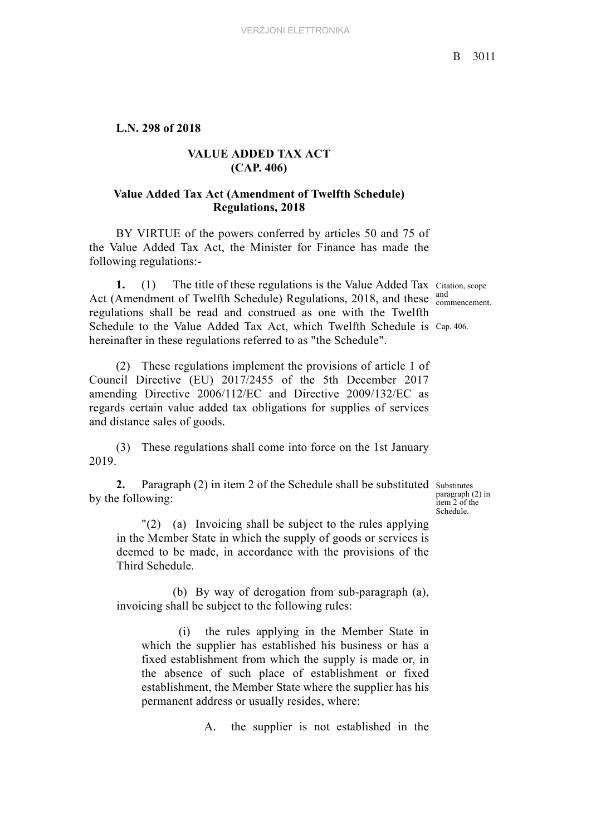## **L.N. 298 of 2018**

## **VALUE ADDED TAX ACT (CAP. 406)**

## **Value Added Tax Act (Amendment of Twelfth Schedule) Regulations, 2018**

BY VIRTUE of the powers conferred by articles 50 and 75 of the Value Added Tax Act, the Minister for Finance has made the following regulations:-

**1.** (1) The title of these regulations is the Value Added Tax Citation, scope Act (Amendment of Twelfth Schedule) Regulations, 2018, and these  $\frac{and}{component}$ Schedule to the Value Added Tax Act, which Twelfth Schedule is Cap. 406. regulations shall be read and construed as one with the Twelfth hereinafter in these regulations referred to as "the Schedule".

(2) These regulations implement the provisions of article 1 of Council Directive (EU) 2017/2455 of the 5th December 2017 amending Directive 2006/112/EC and Directive 2009/132/EC as regards certain value added tax obligations for supplies of services and distance sales of goods.

(3) These regulations shall come into force on the 1st January 2019.

**2.** Paragraph (2) in item 2 of the Schedule shall be substituted substitutes by the following:

paragraph (2) in item 2 of the Schedule.

"(2) (a) Invoicing shall be subject to the rules applying in the Member State in which the supply of goods or services is deemed to be made, in accordance with the provisions of the Third Schedule.

(b) By way of derogation from sub-paragraph (a), invoicing shall be subject to the following rules:

(i) the rules applying in the Member State in which the supplier has established his business or has a fixed establishment from which the supply is made or, in the absence of such place of establishment or fixed establishment, the Member State where the supplier has his permanent address or usually resides, where:

A. the supplier is not established in the

and